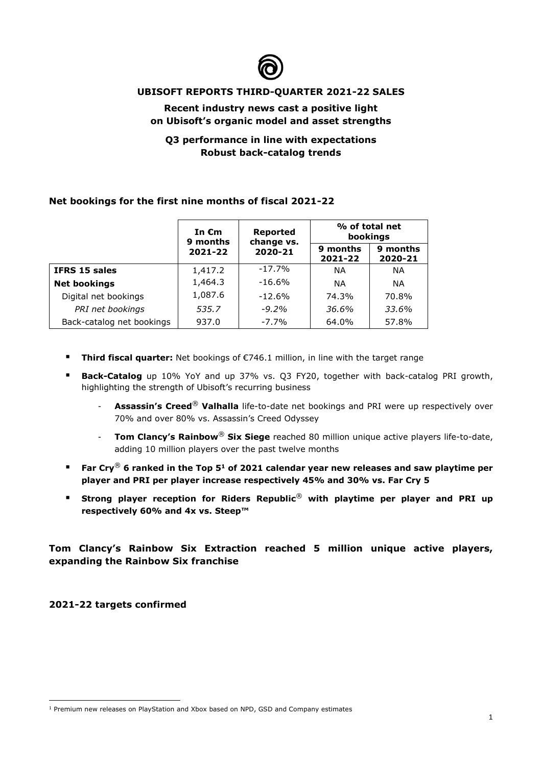

## **UBISOFT REPORTS THIRD-QUARTER 2021-22 SALES**

## **Recent industry news cast a positive light on Ubisoft's organic model and asset strengths**

# **Q3 performance in line with expectations Robust back-catalog trends**

#### **Net bookings for the first nine months of fiscal 2021-22**

|                           | In $\epsilon$ m<br>9 months<br>2021-22 | <b>Reported</b><br>change vs. | % of total net<br>bookings |                     |
|---------------------------|----------------------------------------|-------------------------------|----------------------------|---------------------|
|                           |                                        | 2020-21                       | 9 months<br>2021-22        | 9 months<br>2020-21 |
| <b>IFRS 15 sales</b>      | 1,417.2                                | $-17.7%$                      | ΝA                         | <b>NA</b>           |
| <b>Net bookings</b>       | 1,464.3                                | $-16.6%$                      | ΝA                         | <b>NA</b>           |
| Digital net bookings      | 1,087.6                                | $-12.6%$                      | 74.3%                      | 70.8%               |
| PRI net bookings          | 535.7                                  | $-9.2\%$                      | 36.6%                      | 33.6%               |
| Back-catalog net bookings | 937.0                                  | $-7.7\%$                      | 64.0%                      | 57.8%               |

- **Third fiscal quarter:** Net bookings of €746.1 million, in line with the target range
- **Back-Catalog** up 10% YoY and up 37% vs. Q3 FY20, together with back-catalog PRI growth, highlighting the strength of Ubisoft's recurring business
	- **Assassin's Creed**® **Valhalla** life-to-date net bookings and PRI were up respectively over 70% and over 80% vs. Assassin's Creed Odyssey
	- **Tom Clancy's Rainbow**® **Six Siege** reached 80 million unique active players life-to-date, adding 10 million players over the past twelve months
- Far Cry<sup>®</sup> 6 ranked in the Top 5<sup>1</sup> of 2021 calendar year new releases and saw playtime per **player and PRI per player increase respectively 45% and 30% vs. Far Cry 5**
- Strong player reception for Riders Republic<sup>®</sup> with playtime per player and PRI up **respectively 60% and 4x vs. Steep™**

**Tom Clancy's Rainbow Six Extraction reached 5 million unique active players, expanding the Rainbow Six franchise**

**2021-22 targets confirmed**

<sup>&</sup>lt;sup>1</sup> Premium new releases on PlayStation and Xbox based on NPD, GSD and Company estimates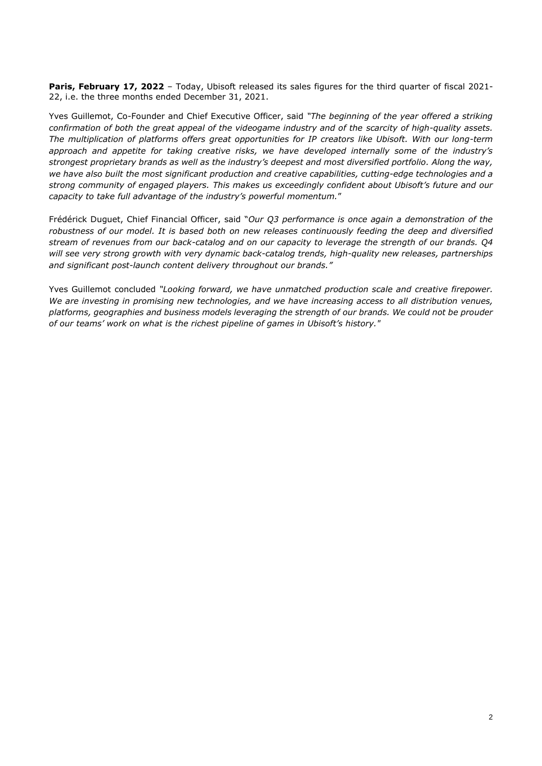**Paris, February 17, 2022** – Today, Ubisoft released its sales figures for the third quarter of fiscal 2021- 22, i.e. the three months ended December 31, 2021.

Yves Guillemot, Co-Founder and Chief Executive Officer, said *"The beginning of the year offered a striking confirmation of both the great appeal of the videogame industry and of the scarcity of high-quality assets. The multiplication of platforms offers great opportunities for IP creators like Ubisoft. With our long-term approach and appetite for taking creative risks, we have developed internally some of the industry's strongest proprietary brands as well as the industry's deepest and most diversified portfolio. Along the way, we have also built the most significant production and creative capabilities, cutting-edge technologies and a strong community of engaged players. This makes us exceedingly confident about Ubisoft's future and our capacity to take full advantage of the industry's powerful momentum.*"

Frédérick Duguet, Chief Financial Officer, said "*Our Q3 performance is once again a demonstration of the robustness of our model. It is based both on new releases continuously feeding the deep and diversified stream of revenues from our back-catalog and on our capacity to leverage the strength of our brands. Q4 will see very strong growth with very dynamic back-catalog trends, high-quality new releases, partnerships and significant post-launch content delivery throughout our brands."*

Yves Guillemot concluded *"Looking forward, we have unmatched production scale and creative firepower. We are investing in promising new technologies, and we have increasing access to all distribution venues, platforms, geographies and business models leveraging the strength of our brands. We could not be prouder of our teams' work on what is the richest pipeline of games in Ubisoft's history."*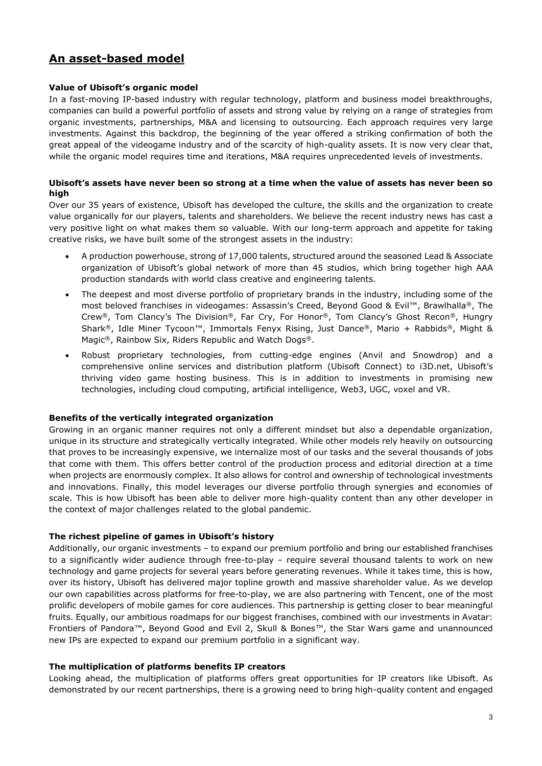# **An asset-based model**

#### **Value of Ubisoft's organic model**

In a fast-moving IP-based industry with regular technology, platform and business model breakthroughs, companies can build a powerful portfolio of assets and strong value by relying on a range of strategies from organic investments, partnerships, M&A and licensing to outsourcing. Each approach requires very large investments. Against this backdrop, the beginning of the year offered a striking confirmation of both the great appeal of the videogame industry and of the scarcity of high-quality assets. It is now very clear that, while the organic model requires time and iterations, M&A requires unprecedented levels of investments.

#### **Ubisoft's assets have never been so strong at a time when the value of assets has never been so high**

Over our 35 years of existence, Ubisoft has developed the culture, the skills and the organization to create value organically for our players, talents and shareholders. We believe the recent industry news has cast a very positive light on what makes them so valuable. With our long-term approach and appetite for taking creative risks, we have built some of the strongest assets in the industry:

- A production powerhouse, strong of 17,000 talents, structured around the seasoned Lead & Associate organization of Ubisoft's global network of more than 45 studios, which bring together high AAA production standards with world class creative and engineering talents.
- The deepest and most diverse portfolio of proprietary brands in the industry, including some of the most beloved franchises in videogames: Assassin's Creed, Beyond Good & Evil™, Brawlhalla®, The Crew®, Tom Clancy's The Division®, Far Cry, For Honor®, Tom Clancy's Ghost Recon®, Hungry Shark®, Idle Miner Tycoon™, Immortals Fenyx Rising, Just Dance®, Mario + Rabbids®, Might & Magic®, Rainbow Six, Riders Republic and Watch Dogs®.
- Robust proprietary technologies, from cutting-edge engines (Anvil and Snowdrop) and a comprehensive online services and distribution platform (Ubisoft Connect) to i3D.net, Ubisoft's thriving video game hosting business. This is in addition to investments in promising new technologies, including cloud computing, artificial intelligence, Web3, UGC, voxel and VR.

#### **Benefits of the vertically integrated organization**

Growing in an organic manner requires not only a different mindset but also a dependable organization, unique in its structure and strategically vertically integrated. While other models rely heavily on outsourcing that proves to be increasingly expensive, we internalize most of our tasks and the several thousands of jobs that come with them. This offers better control of the production process and editorial direction at a time when projects are enormously complex. It also allows for control and ownership of technological investments and innovations. Finally, this model leverages our diverse portfolio through synergies and economies of scale. This is how Ubisoft has been able to deliver more high-quality content than any other developer in the context of major challenges related to the global pandemic.

#### **The richest pipeline of games in Ubisoft's history**

Additionally, our organic investments – to expand our premium portfolio and bring our established franchises to a significantly wider audience through free-to-play – require several thousand talents to work on new technology and game projects for several years before generating revenues. While it takes time, this is how, over its history, Ubisoft has delivered major topline growth and massive shareholder value. As we develop our own capabilities across platforms for free-to-play, we are also partnering with Tencent, one of the most prolific developers of mobile games for core audiences. This partnership is getting closer to bear meaningful fruits. Equally, our ambitious roadmaps for our biggest franchises, combined with our investments in Avatar: Frontiers of Pandora™, Beyond Good and Evil 2, Skull & Bones™, the Star Wars game and unannounced new IPs are expected to expand our premium portfolio in a significant way.

#### **The multiplication of platforms benefits IP creators**

Looking ahead, the multiplication of platforms offers great opportunities for IP creators like Ubisoft. As demonstrated by our recent partnerships, there is a growing need to bring high-quality content and engaged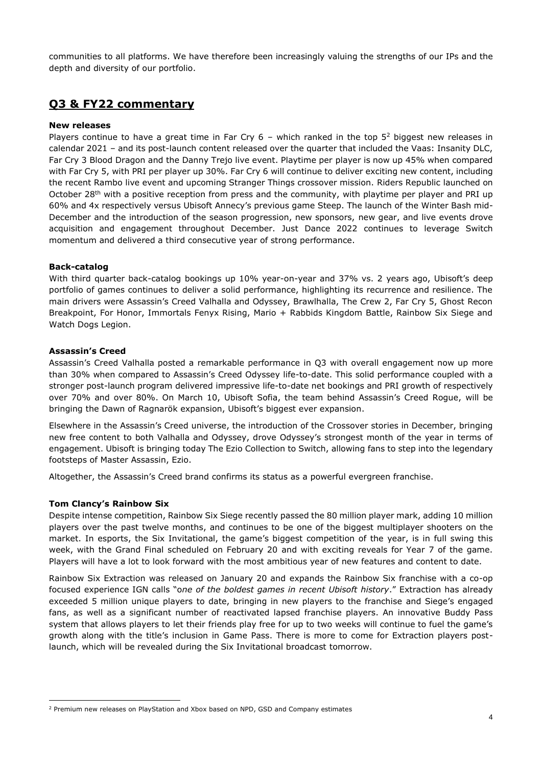communities to all platforms. We have therefore been increasingly valuing the strengths of our IPs and the depth and diversity of our portfolio.

# **Q3 & FY22 commentary**

#### **New releases**

Players continue to have a great time in Far Cry  $6$  – which ranked in the top  $5<sup>2</sup>$  biggest new releases in calendar 2021 – and its post-launch content released over the quarter that included the Vaas: Insanity DLC, Far Cry 3 Blood Dragon and the Danny Trejo live event. Playtime per player is now up 45% when compared with Far Cry 5, with PRI per player up 30%. Far Cry 6 will continue to deliver exciting new content, including the recent Rambo live event and upcoming Stranger Things crossover mission. Riders Republic launched on October 28<sup>th</sup> with a positive reception from press and the community, with playtime per player and PRI up 60% and 4x respectively versus Ubisoft Annecy's previous game Steep. The launch of the Winter Bash mid-December and the introduction of the season progression, new sponsors, new gear, and live events drove acquisition and engagement throughout December. Just Dance 2022 continues to leverage Switch momentum and delivered a third consecutive year of strong performance.

#### **Back-catalog**

With third quarter back-catalog bookings up 10% year-on-year and 37% vs. 2 years ago, Ubisoft's deep portfolio of games continues to deliver a solid performance, highlighting its recurrence and resilience. The main drivers were Assassin's Creed Valhalla and Odyssey, Brawlhalla, The Crew 2, Far Cry 5, Ghost Recon Breakpoint, For Honor, Immortals Fenyx Rising, Mario + Rabbids Kingdom Battle, Rainbow Six Siege and Watch Dogs Legion.

#### **Assassin's Creed**

Assassin's Creed Valhalla posted a remarkable performance in Q3 with overall engagement now up more than 30% when compared to Assassin's Creed Odyssey life-to-date. This solid performance coupled with a stronger post-launch program delivered impressive life-to-date net bookings and PRI growth of respectively over 70% and over 80%. On March 10, Ubisoft Sofia, the team behind Assassin's Creed Rogue, will be bringing the Dawn of Ragnarök expansion, Ubisoft's biggest ever expansion.

Elsewhere in the Assassin's Creed universe, the introduction of the Crossover stories in December, bringing new free content to both Valhalla and Odyssey, drove Odyssey's strongest month of the year in terms of engagement. Ubisoft is bringing today The Ezio Collection to Switch, allowing fans to step into the legendary footsteps of Master Assassin, Ezio.

Altogether, the Assassin's Creed brand confirms its status as a powerful evergreen franchise.

#### **Tom Clancy's Rainbow Six**

Despite intense competition, Rainbow Six Siege recently passed the 80 million player mark, adding 10 million players over the past twelve months, and continues to be one of the biggest multiplayer shooters on the market. In esports, the Six Invitational, the game's biggest competition of the year, is in full swing this week, with the Grand Final scheduled on February 20 and with exciting reveals for Year 7 of the game. Players will have a lot to look forward with the most ambitious year of new features and content to date.

Rainbow Six Extraction was released on January 20 and expands the Rainbow Six franchise with a co-op focused experience IGN calls "o*ne of the boldest games in recent Ubisoft history*." Extraction has already exceeded 5 million unique players to date, bringing in new players to the franchise and Siege's engaged fans, as well as a significant number of reactivated lapsed franchise players. An innovative Buddy Pass system that allows players to let their friends play free for up to two weeks will continue to fuel the game's growth along with the title's inclusion in Game Pass. There is more to come for Extraction players postlaunch, which will be revealed during the Six Invitational broadcast tomorrow.

<sup>2</sup> Premium new releases on PlayStation and Xbox based on NPD, GSD and Company estimates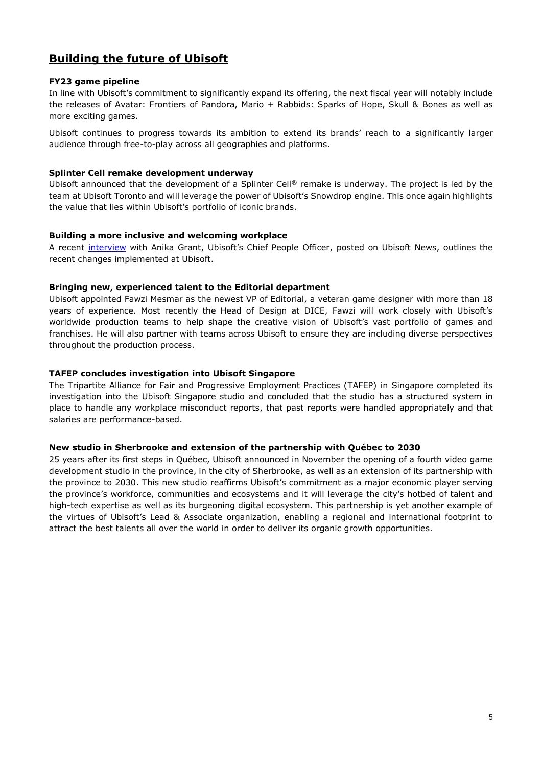# **Building the future of Ubisoft**

#### **FY23 game pipeline**

In line with Ubisoft's commitment to significantly expand its offering, the next fiscal year will notably include the releases of Avatar: Frontiers of Pandora, Mario + Rabbids: Sparks of Hope, Skull & Bones as well as more exciting games.

Ubisoft continues to progress towards its ambition to extend its brands' reach to a significantly larger audience through free-to-play across all geographies and platforms.

#### **Splinter Cell remake development underway**

Ubisoft announced that the development of a Splinter Cell® remake is underway. The project is led by the team at Ubisoft Toronto and will leverage the power of Ubisoft's Snowdrop engine. This once again highlights the value that lies within Ubisoft's portfolio of iconic brands.

#### **Building a more inclusive and welcoming workplace**

A recent [interview](https://news.ubisoft.com/en-us/article/11uOLKj4zcaoIABr2UaO5l/how-ubisoft-is-building-a-more-inclusive-welcoming-workplace) with Anika Grant, Ubisoft's Chief People Officer, posted on Ubisoft News, outlines the recent changes implemented at Ubisoft.

#### **Bringing new, experienced talent to the Editorial department**

Ubisoft appointed Fawzi Mesmar as the newest VP of Editorial, a veteran game designer with more than 18 years of experience. Most recently the Head of Design at DICE, Fawzi will work closely with Ubisoft's worldwide production teams to help shape the creative vision of Ubisoft's vast portfolio of games and franchises. He will also partner with teams across Ubisoft to ensure they are including diverse perspectives throughout the production process.

#### **TAFEP concludes investigation into Ubisoft Singapore**

The Tripartite Alliance for Fair and Progressive Employment Practices (TAFEP) in Singapore completed its investigation into the Ubisoft Singapore studio and concluded that the studio has a structured system in place to handle any workplace misconduct reports, that past reports were handled appropriately and that salaries are performance-based.

#### **New studio in Sherbrooke and extension of the partnership with Québec to 2030**

25 years after its first steps in Québec, Ubisoft announced in November the opening of a fourth video game development studio in the province, in the city of Sherbrooke, as well as an extension of its partnership with the province to 2030. This new studio reaffirms Ubisoft's commitment as a major economic player serving the province's workforce, communities and ecosystems and it will leverage the city's hotbed of talent and high-tech expertise as well as its burgeoning digital ecosystem. This partnership is yet another example of the virtues of Ubisoft's Lead & Associate organization, enabling a regional and international footprint to attract the best talents all over the world in order to deliver its organic growth opportunities.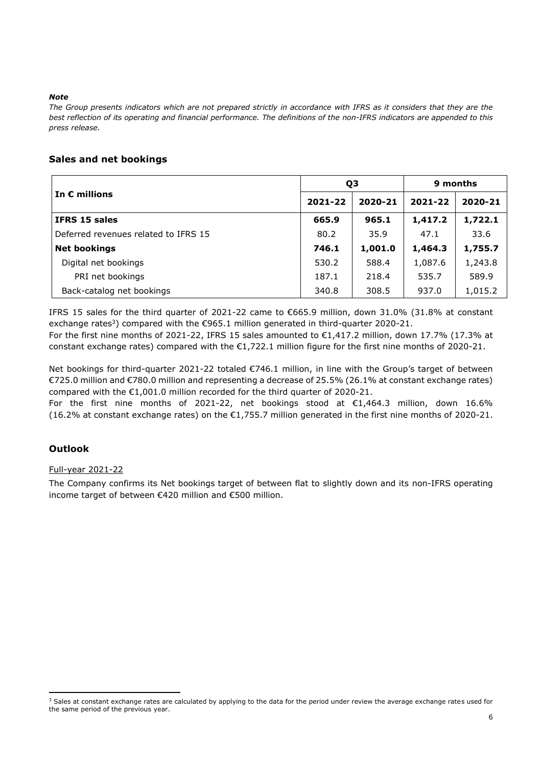#### *Note*

*The Group presents indicators which are not prepared strictly in accordance with IFRS as it considers that they are the best reflection of its operating and financial performance. The definitions of the non-IFRS indicators are appended to this press release.*

## **Sales and net bookings**

|                                      | Q3      |         | 9 months |         |
|--------------------------------------|---------|---------|----------|---------|
| In $\epsilon$ millions               | 2021-22 | 2020-21 | 2021-22  | 2020-21 |
| IFRS 15 sales                        | 665.9   | 965.1   | 1,417.2  | 1,722.1 |
| Deferred revenues related to IFRS 15 | 80.2    | 35.9    | 47.1     | 33.6    |
| <b>Net bookings</b>                  | 746.1   | 1,001.0 | 1,464.3  | 1,755.7 |
| Digital net bookings                 | 530.2   | 588.4   | 1,087.6  | 1,243.8 |
| PRI net bookings                     | 187.1   | 218.4   | 535.7    | 589.9   |
| Back-catalog net bookings            | 340.8   | 308.5   | 937.0    | 1,015.2 |

IFRS 15 sales for the third quarter of 2021-22 came to €665.9 million, down 31.0% (31.8% at constant exchange rates<sup>3</sup>) compared with the  $\epsilon$ 965.1 million generated in third-quarter 2020-21.

For the first nine months of 2021-22, IFRS 15 sales amounted to €1,417.2 million, down 17.7% (17.3% at constant exchange rates) compared with the €1,722.1 million figure for the first nine months of 2020-21.

Net bookings for third-quarter 2021-22 totaled €746.1 million, in line with the Group's target of between €725.0 million and €780.0 million and representing a decrease of 25.5% (26.1% at constant exchange rates) compared with the €1,001.0 million recorded for the third quarter of 2020-21.

For the first nine months of 2021-22, net bookings stood at €1,464.3 million, down 16.6% (16.2% at constant exchange rates) on the €1,755.7 million generated in the first nine months of 2020-21.

### **Outlook**

#### Full-year 2021-22

The Company confirms its Net bookings target of between flat to slightly down and its non-IFRS operating income target of between €420 million and €500 million.

<sup>&</sup>lt;sup>3</sup> Sales at constant exchange rates are calculated by applying to the data for the period under review the average exchange rates used for the same period of the previous year.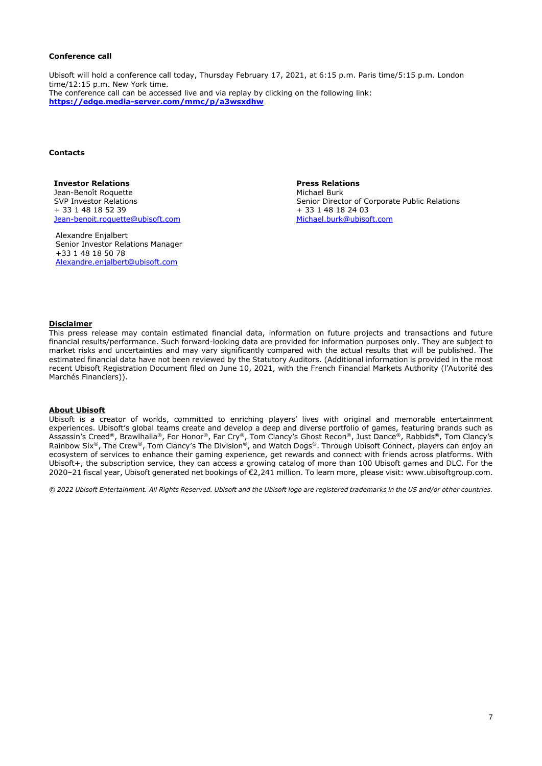#### **Conference call**

Ubisoft will hold a conference call today, Thursday February 17, 2021, at 6:15 p.m. Paris time/5:15 p.m. London time/12:15 p.m. New York time. The conference call can be accessed live and via replay by clicking on the following link: **https://edge.media-server.com/mmc/p/a3wsxdhw**

#### **Contacts**

**Investor Relations** Jean-Benoît Roquette SVP Investor Relations + 33 1 48 18 52 39 [Jean-benoit.roquette@ubisoft.com](mailto:Jean-benoit.roquette@ubisoft.com)

Alexandre Enjalbert Senior Investor Relations Manager +33 1 48 18 50 78 Alexandre.enjalbert@ubisoft.com

**Press Relations**  Michael Burk Senior Director of Corporate Public Relations + 33 1 48 18 24 03 [Michael.burk@ubisoft.com](mailto:Michael.burk@ubisoft.com)

#### **Disclaimer**

This press release may contain estimated financial data, information on future projects and transactions and future financial results/performance. Such forward-looking data are provided for information purposes only. They are subject to market risks and uncertainties and may vary significantly compared with the actual results that will be published. The estimated financial data have not been reviewed by the Statutory Auditors. (Additional information is provided in the most recent Ubisoft Registration Document filed on June 10, 2021, with the French Financial Markets Authority (l'Autorité des Marchés Financiers)).

#### **About Ubisoft**

Ubisoft is a creator of worlds, committed to enriching players' lives with original and memorable entertainment experiences. Ubisoft's global teams create and develop a deep and diverse portfolio of games, featuring brands such as Assassin's Creed®, Brawlhalla®, For Honor®, Far Cry®, Tom Clancy's Ghost Recon®, Just Dance®, Rabbids®, Tom Clancy's Rainbow Six®, The Crew®, Tom Clancy's The Division®, and Watch Dogs®. Through Ubisoft Connect, players can enjoy an ecosystem of services to enhance their gaming experience, get rewards and connect with friends across platforms. With Ubisoft+, the subscription service, they can access a growing catalog of more than 100 Ubisoft games and DLC. For the 2020–21 fiscal year, Ubisoft generated net bookings of €2,241 million. To learn more, please visit: www.ubisoftgroup.com.

*© 2022 Ubisoft Entertainment. All Rights Reserved. Ubisoft and the Ubisoft logo are registered trademarks in the US and/or other countries.*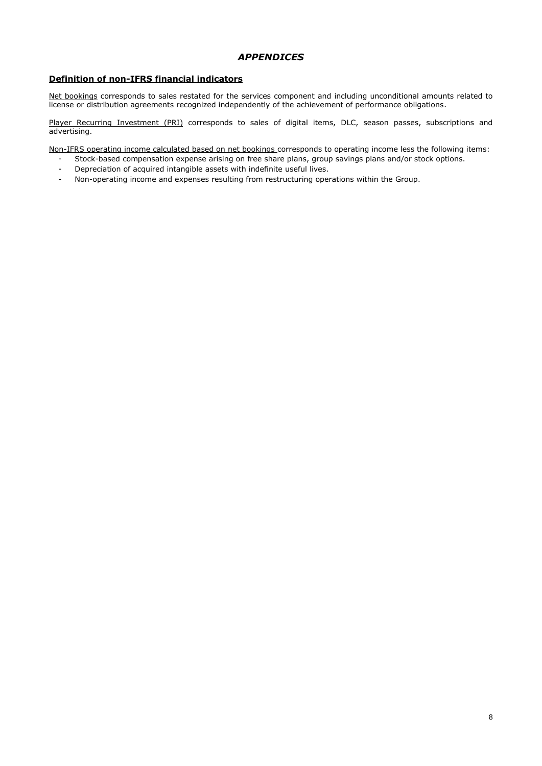## *APPENDICES*

### **Definition of non-IFRS financial indicators**

Net bookings corresponds to sales restated for the services component and including unconditional amounts related to license or distribution agreements recognized independently of the achievement of performance obligations.

Player Recurring Investment (PRI) corresponds to sales of digital items, DLC, season passes, subscriptions and advertising.

Non-IFRS operating income calculated based on net bookings corresponds to operating income less the following items:

- Stock-based compensation expense arising on free share plans, group savings plans and/or stock options.
- Depreciation of acquired intangible assets with indefinite useful lives.
- Non-operating income and expenses resulting from restructuring operations within the Group.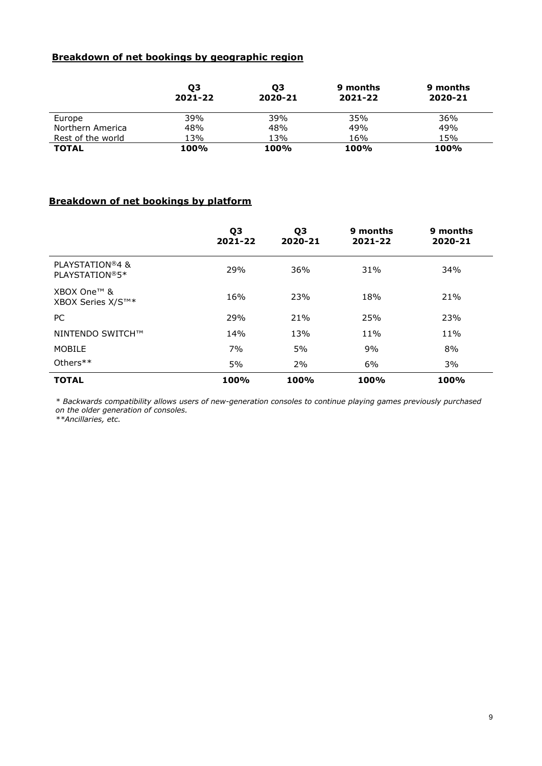# **Breakdown of net bookings by geographic region**

|                   | Ο3<br>2021-22 | Ο3<br>2020-21 | 9 months<br>2021-22 | 9 months<br>2020-21 |
|-------------------|---------------|---------------|---------------------|---------------------|
| Europe            | 39%           | 39%           | 35%                 | 36%                 |
| Northern America  | 48%           | 48%           | 49%                 | 49%                 |
| Rest of the world | 13%           | 13%           | 16%                 | 15%                 |
| <b>TOTAL</b>      | 100%          | 100%          | 100%                | 100%                |

# **Breakdown of net bookings by platform**

|                                   | Q <sub>3</sub><br>2021-22 | Q3<br>2020-21 | 9 months<br>2021-22 | 9 months<br>2020-21 |
|-----------------------------------|---------------------------|---------------|---------------------|---------------------|
| PLAYSTATION®4 &<br>PLAYSTATION®5* | 29%                       | 36%           | 31%                 | 34%                 |
| XBOX One™ &<br>XBOX Series X/S™*  | 16%                       | 23%           | 18%                 | 21%                 |
| PC.                               | 29%                       | 21%           | 25%                 | 23%                 |
| NINTENDO SWITCH™                  | 14%                       | 13%           | 11%                 | 11%                 |
| <b>MOBILE</b>                     | 7%                        | 5%            | 9%                  | 8%                  |
| Others $**$                       | 5%                        | 2%            | 6%                  | 3%                  |
| <b>TOTAL</b>                      | 100%                      | 100%          | 100%                | 100%                |

*\* Backwards compatibility allows users of new-generation consoles to continue playing games previously purchased on the older generation of consoles.* 

*\*\*Ancillaries, etc.*